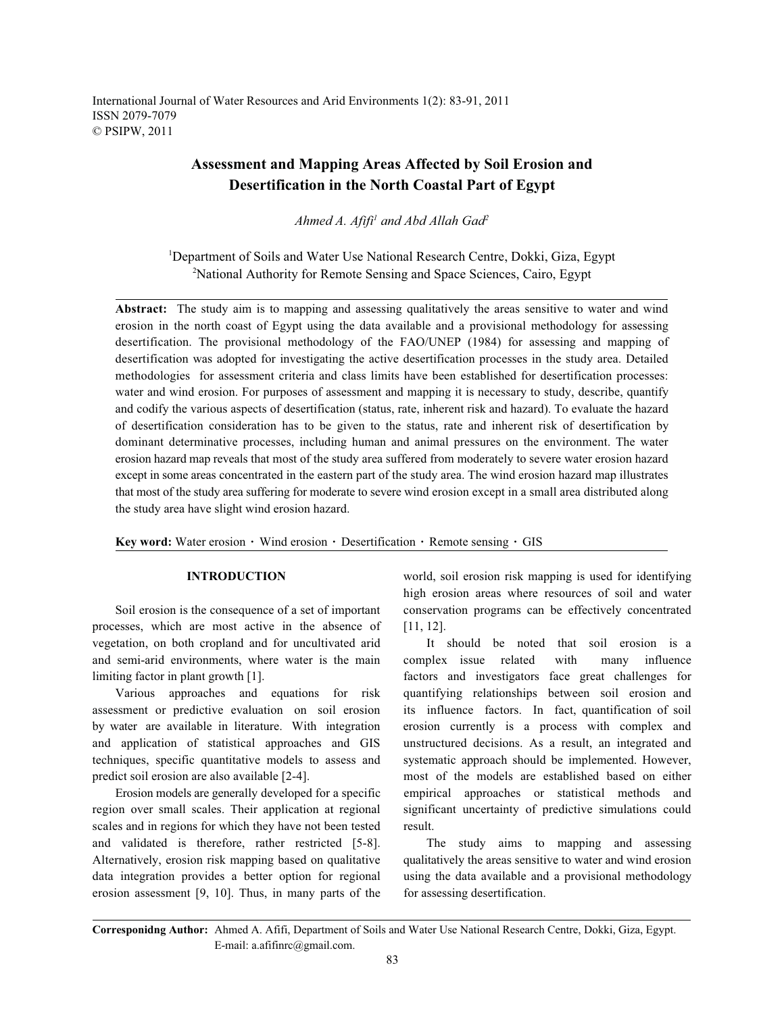International Journal of Water Resources and Arid Environments 1(2): 83-91, 2011 ISSN 2079-7079 © PSIPW, 2011

# **Assessment and Mapping Areas Affected by Soil Erosion and Desertification in the North Coastal Part of Egypt**

*Ahmed A. Afifi<sup>1</sup> and Abd Allah Gad*<sup>2</sup>

<sup>1</sup>Department of Soils and Water Use National Research Centre, Dokki, Giza, Egypt <sup>2</sup>National Authority for Remote Sensing and Space Sciences, Cairo, Egypt

Abstract: The study aim is to mapping and assessing qualitatively the areas sensitive to water and wind erosion in the north coast of Egypt using the data available and a provisional methodology for assessing desertification. The provisional methodology of the FAO/UNEP (1984) for assessing and mapping of desertification was adopted for investigating the active desertification processes in the study area. Detailed methodologies for assessment criteria and class limits have been established for desertification processes: water and wind erosion. For purposes of assessment and mapping it is necessary to study, describe, quantify and codify the various aspects of desertification (status, rate, inherent risk and hazard). To evaluate the hazard of desertification consideration has to be given to the status, rate and inherent risk of desertification by dominant determinative processes, including human and animal pressures on the environment. The water erosion hazard map reveals that most of the study area suffered from moderately to severe water erosion hazard except in some areas concentrated in the eastern part of the study area. The wind erosion hazard map illustrates that most of the study area suffering for moderate to severe wind erosion except in a small area distributed along the study area have slight wind erosion hazard.

Key word: Water erosion · Wind erosion · Desertification · Remote sensing · GIS

processes, which are most active in the absence of [11, 12]. vegetation, on both cropland and for uncultivated arid It should be noted that soil erosion is a and semi-arid environments, where water is the main complex issue related with many influence limiting factor in plant growth [1]. factors and investigators face great challenges for

assessment or predictive evaluation on soil erosion its influence factors. In fact, quantification of soil by water are available in literature. With integration erosion currently is a process with complex and and application of statistical approaches and GIS unstructured decisions. As a result, an integrated and techniques, specific quantitative models to assess and systematic approach should be implemented. However, predict soil erosion are also available [2-4]. most of the models are established based on either

region over small scales. Their application at regional significant uncertainty of predictive simulations could scales and in regions for which they have not been tested result. and validated is therefore, rather restricted [5-8]. The study aims to mapping and assessing Alternatively, erosion risk mapping based on qualitative qualitatively the areas sensitive to water and wind erosion data integration provides a better option for regional using the data available and a provisional methodology erosion assessment [9, 10]. Thus, in many parts of the for assessing desertification.

**INTRODUCTION** world, soil erosion risk mapping is used for identifying Soil erosion is the consequence of a set of important conservation programs can be effectively concentrated high erosion areas where resources of soil and water

Various approaches and equations for risk quantifying relationships between soil erosion and Erosion models are generally developed for a specific empirical approaches or statistical methods and

**Corresponidng Author:** Ahmed A. Afifi, Department of Soils and Water Use National Research Centre, Dokki, Giza, Egypt. E-mail: a.afifinrc@gmail.com.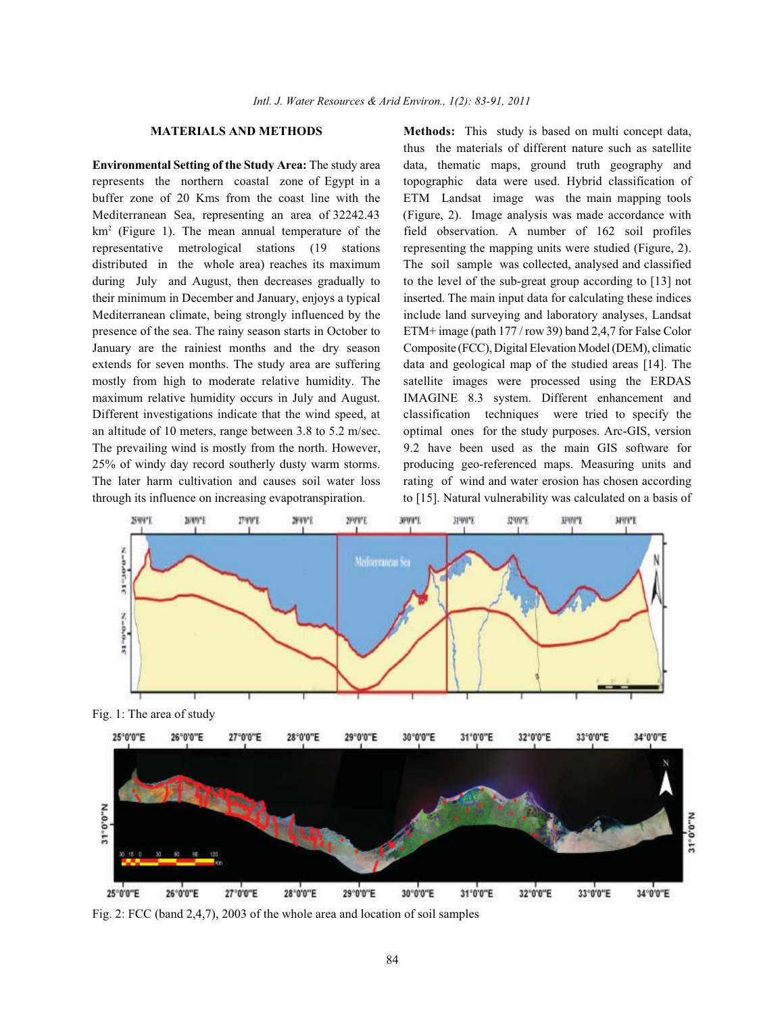represents the northern coastal zone of Egypt in a topographic data were used. Hybrid classification of buffer zone of 20 Kms from the coast line with the ETM Landsat image was the main mapping tools Mediterranean Sea, representing an area of 32242.43 (Figure, 2). Image analysis was made accordance with  $km<sup>2</sup>$  (Figure 1). The mean annual temperature of the field observation. A number of 162 soil profiles representative metrological stations (19 stations representing the mapping units were studied (Figure, 2). distributed in the whole area) reaches its maximum The soil sample was collected, analysed and classified during July and August, then decreases gradually to to the level of the sub-great group according to [13] not their minimum in December and January, enjoys a typical inserted. The main input data for calculating these indices Mediterranean climate, being strongly influenced by the include land surveying and laboratory analyses, Landsat presence of the sea. The rainy season starts in October to ETM+ image (path 177 / row 39) band 2,4,7 for False Color January are the rainiest months and the dry season Composite (FCC), Digital Elevation Model (DEM), climatic extends for seven months. The study area are suffering data and geological map of the studied areas [14]. The mostly from high to moderate relative humidity. The satellite images were processed using the ERDAS maximum relative humidity occurs in July and August. IMAGINE 8.3 system. Different enhancement and Different investigations indicate that the wind speed, at classification techniques were tried to specify the an altitude of 10 meters, range between 3.8 to 5.2 m/sec. optimal ones for the study purposes. Arc-GIS, version The prevailing wind is mostly from the north. However, 9.2 have been used as the main GIS software for 25% of windy day record southerly dusty warm storms. producing geo-referenced maps. Measuring units and The later harm cultivation and causes soil water loss rating of wind and water erosion has chosen according through its influence on increasing evapotranspiration. to [15]. Natural vulnerability was calculated on a basis of

**MATERIALS AND METHODS Methods:** This study is based on multi concept data, **Environmental Setting of the Study Area:** The study area data, thematic maps, ground truth geography and thus the materials of different nature such as satellite



Fig. 2: FCC (band 2,4,7), 2003 of the whole area and location of soil samples

28°0'0"E

27°0'0"E

25°0'0"E

26°0'0"E

30°0'0"E

31°0'0"E

32°0'0"E

33°0'0"E

34°0'0"E

29°0'0"E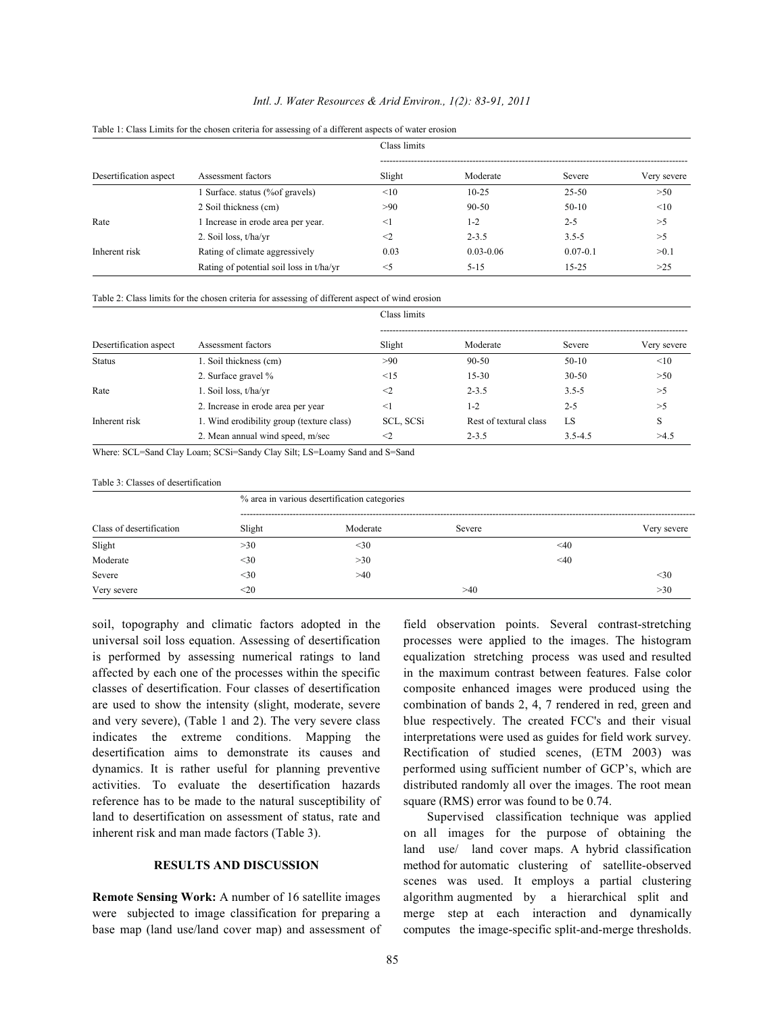### *Intl. J. Water Resources & Arid Environ., 1(2): 83-91, 2011*

| Desertification aspect | Assessment factors                       | Class limits |               |              |             |  |
|------------------------|------------------------------------------|--------------|---------------|--------------|-------------|--|
|                        |                                          | Slight       | Moderate      | Severe       | Very severe |  |
|                        | Surface. status (%of gravels)            | <10          | $10 - 25$     | 25-50        | >50         |  |
|                        | 2 Soil thickness (cm)                    | >90          | $90 - 50$     | $50-10$      | <10         |  |
| Rate                   | 1 Increase in erode area per year.       | $\leq$ 1     | $1 - 2$       | $2 - 5$      | >5          |  |
|                        | 2. Soil loss, t/ha/yr                    | $\leq$ 2     | $2 - 3.5$     | $3.5 - 5$    | >5          |  |
| Inherent risk          | Rating of climate aggressively           | 0.03         | $0.03 - 0.06$ | $0.07 - 0.1$ | >0.1        |  |
|                        | Rating of potential soil loss in t/ha/yr | $<$ 5        | $5 - 15$      | $15 - 25$    | >25         |  |

Table 1: Class Limits for the chosen criteria for assessing of a different aspects of water erosion

Table 2: Class limits for the chosen criteria for assessing of different aspect of wind erosion

| Desertification aspect |                                           | Class limits |                        |             |             |  |
|------------------------|-------------------------------------------|--------------|------------------------|-------------|-------------|--|
|                        | Assessment factors                        | Slight       | Moderate               | Severe      | Very severe |  |
| <b>Status</b>          | 1. Soil thickness (cm)                    | >90          | $90 - 50$              | $50-10$     | <10         |  |
|                        | 2. Surface gravel %                       | $\leq$ 15    | $15 - 30$              | $30 - 50$   | >50         |  |
| Rate                   | 1. Soil loss, $t/ha/vr$                   | $\leq$       | $2 - 3.5$              | $3.5 - 5$   | >5          |  |
|                        | 2. Increase in erode area per year        | $<$ 1        | $1 - 2$                | $2 - 5$     | >5          |  |
| Inherent risk          | 1. Wind erodibility group (texture class) | SCL, SCSi    | Rest of textural class | LS          | S           |  |
|                        | 2. Mean annual wind speed, m/sec          | $<$ 2        | $2 - 3.5$              | $3.5 - 4.5$ | >4.5        |  |

Where: SCL=Sand Clay Loam; SCSi=Sandy Clay Silt; LS=Loamy Sand and S=Sand

### Table 3: Classes of desertification

| Class of desertification | % area in various desertification categories |          |        |           |             |  |
|--------------------------|----------------------------------------------|----------|--------|-----------|-------------|--|
|                          | Slight                                       | Moderate | Severe |           | Very severe |  |
| Slight                   | >30                                          | $30$     |        | $\leq 40$ |             |  |
| Moderate                 | $30$                                         | >30      |        | $<$ 40    |             |  |
| Severe                   | $30$                                         | >40      |        |           | $<$ 30      |  |
| Very severe              | $20$                                         |          | >40    |           | >30         |  |

soil, topography and climatic factors adopted in the field observation points. Several contrast-stretching universal soil loss equation. Assessing of desertification processes were applied to the images. The histogram is performed by assessing numerical ratings to land equalization stretching process was used and resulted affected by each one of the processes within the specific in the maximum contrast between features. False color classes of desertification. Four classes of desertification composite enhanced images were produced using the are used to show the intensity (slight, moderate, severe combination of bands 2, 4, 7 rendered in red, green and and very severe), (Table 1 and 2). The very severe class blue respectively. The created FCC's and their visual indicates the extreme conditions. Mapping the interpretations were used as guides for field work survey. desertification aims to demonstrate its causes and Rectification of studied scenes, (ETM 2003) was dynamics. It is rather useful for planning preventive performed using sufficient number of GCP's, which are activities. To evaluate the desertification hazards distributed randomly all over the images. The root mean reference has to be made to the natural susceptibility of square (RMS) error was found to be 0.74. land to desertification on assessment of status, rate and Supervised classification technique was applied inherent risk and man made factors (Table 3). on all images for the purpose of obtaining the

base map (land use/land cover map) and assessment of computes the image-specific split-and-merge thresholds.

**RESULTS AND DISCUSSION** method for automatic clustering of satellite-observed **Remote Sensing Work:** A number of 16 satellite images algorithm augmented by a hierarchical split and were subjected to image classification for preparing a merge step at each interaction and dynamically land use/ land cover maps. A hybrid classification scenes was used. It employs a partial clustering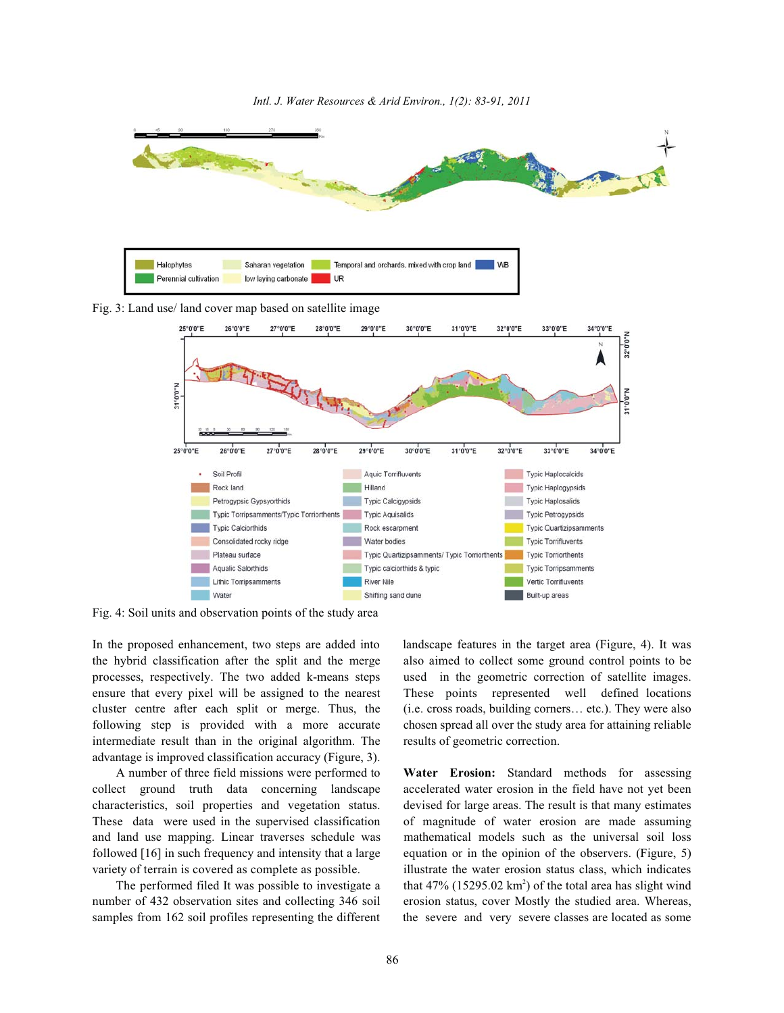

Fig. 4: Soil units and observation points of the study area

the hybrid classification after the split and the merge also aimed to collect some ground control points to be processes, respectively. The two added k-means steps used in the geometric correction of satellite images. ensure that every pixel will be assigned to the nearest These points represented well defined locations cluster centre after each split or merge. Thus, the (i.e. cross roads, building corners… etc.). They were also following step is provided with a more accurate chosen spread all over the study area for attaining reliable intermediate result than in the original algorithm. The results of geometric correction. advantage is improved classification accuracy (Figure, 3).

A number of three field missions were performed to **Water Erosion:** Standard methods for assessing collect ground truth data concerning landscape accelerated water erosion in the field have not yet been characteristics, soil properties and vegetation status. devised for large areas. The result is that many estimates These data were used in the supervised classification of magnitude of water erosion are made assuming and land use mapping. Linear traverses schedule was mathematical models such as the universal soil loss followed [16] in such frequency and intensity that a large equation or in the opinion of the observers. (Figure, 5) variety of terrain is covered as complete as possible. illustrate the water erosion status class, which indicates

number of 432 observation sites and collecting 346 soil erosion status, cover Mostly the studied area. Whereas, samples from 162 soil profiles representing the different the severe and very severe classes are located as some

In the proposed enhancement, two steps are added into landscape features in the target area (Figure, 4). It was

The performed filed It was possible to investigate a that  $47\%$  (15295.02 km<sup>2</sup>) of the total area has slight wind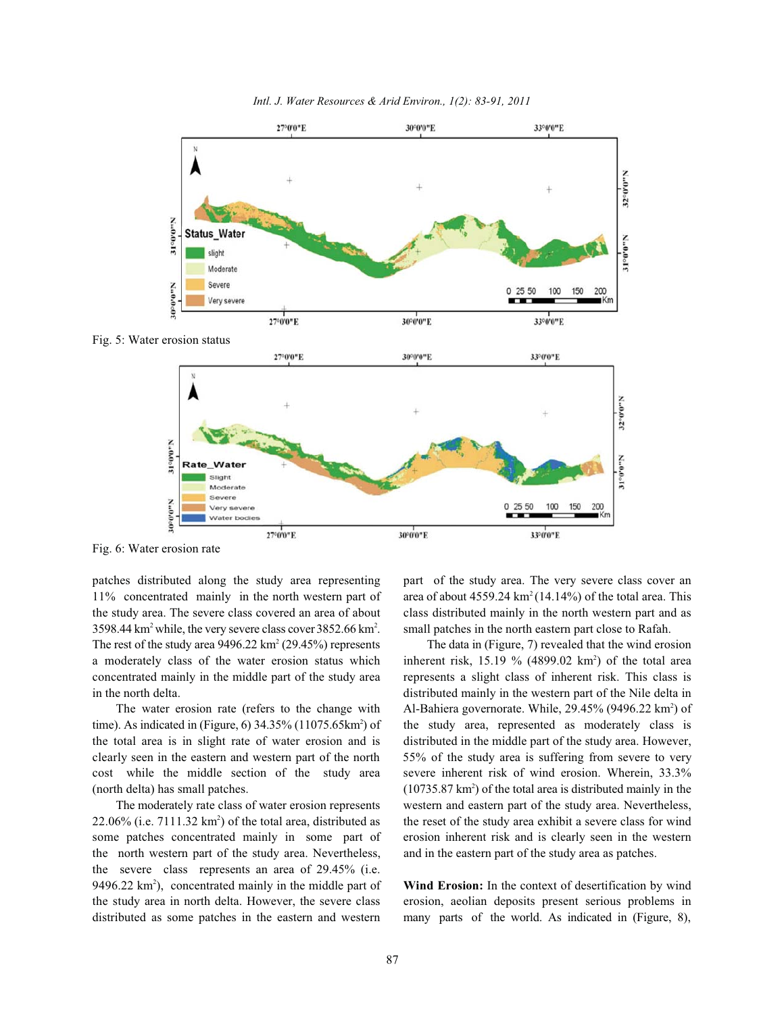

*Intl. J. Water Resources & Arid Environ., 1(2): 83-91, 2011*

Fig. 6: Water erosion rate

11% concentrated mainly in the north western part of area of about  $4559.24 \text{ km}^2 (14.14%)$  of the total area. This the study area. The severe class covered an area of about class distributed mainly in the north western part and as  $3598.44 \text{ km}^2$  while, the very severe class cover  $3852.66 \text{ km}^2$ . small patches in the north eastern part close to Rafah. The rest of the study area  $9496.22 \text{ km}^2 (29.45%)$  represents The data in (Figure, 7) revealed that the wind erosion a moderately class of the water erosion status which inherent risk,  $15.19 \%$  (4899.02 km<sup>2</sup>) of the total area concentrated mainly in the middle part of the study area represents a slight class of inherent risk. This class is in the north delta. distributed mainly in the western part of the Nile delta in

time). As indicated in (Figure,  $6$ ) 34.35% (11075.65km<sup>2</sup>) of the study area, represented as moderately class is the total area is in slight rate of water erosion and is distributed in the middle part of the study area. However, clearly seen in the eastern and western part of the north 55% of the study area is suffering from severe to very cost while the middle section of the study area severe inherent risk of wind erosion. Wherein, 33.3%

 $22.06\%$  (i.e. 7111.32 km<sup>2</sup>) of the total area, distributed as the reset of the study area exhibit a severe class for wind some patches concentrated mainly in some part of erosion inherent risk and is clearly seen in the western the north western part of the study area. Nevertheless, and in the eastern part of the study area as patches. the severe class represents an area of 29.45% (i.e. 9496.22 km<sup>2</sup>), concentrated mainly in the middle part of **Wind Erosion:** In the context of desertification by wind the study area in north delta. However, the severe class erosion, aeolian deposits present serious problems in distributed as some patches in the eastern and western many parts of the world. As indicated in (Figure, 8),

patches distributed along the study area representing part of the study area. The very severe class cover an

The water erosion rate (refers to the change with Al-Bahiera governorate. While,  $29.45\%$  (9496.22 km<sup>2</sup>) of (north delta) has small patches.  $(10735.87 \text{ km}^2)$  of the total area is distributed mainly in the The moderately rate class of water erosion represents western and eastern part of the study area. Nevertheless,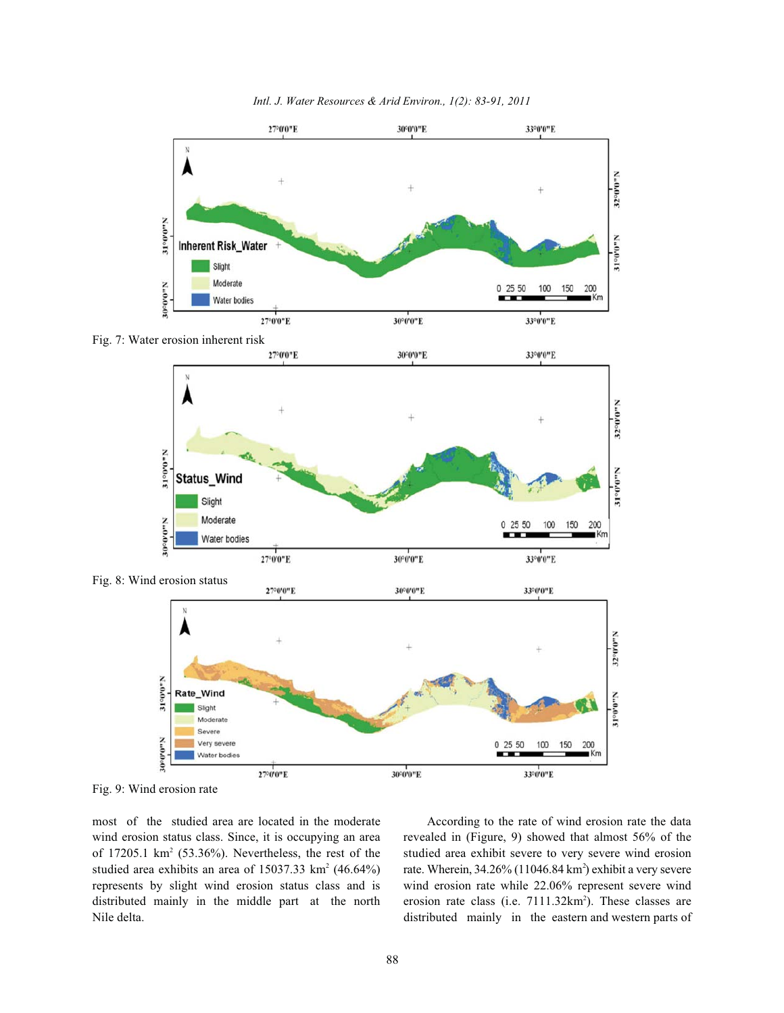

*Intl. J. Water Resources & Arid Environ., 1(2): 83-91, 2011*

Fig. 9: Wind erosion rate

most of the studied area are located in the moderate According to the rate of wind erosion rate the data wind erosion status class. Since, it is occupying an area revealed in (Figure, 9) showed that almost 56% of the of 17205.1 km<sup>2</sup> (53.36%). Nevertheless, the rest of the studied area exhibit severe to very severe wind erosion studied area exhibits an area of 15037.33 km<sup>2</sup> (46.64%) rate. Wherein, 34.26% (11046.84 km<sup>2</sup>) exhibit a very severe represents by slight wind erosion status class and is wind erosion rate while 22.06% represent severe wind distributed mainly in the middle part at the north

Nile delta. distributed mainly in the eastern and western parts of erosion rate class (i.e.  $7111.32 \text{km}^2$ ). These classes are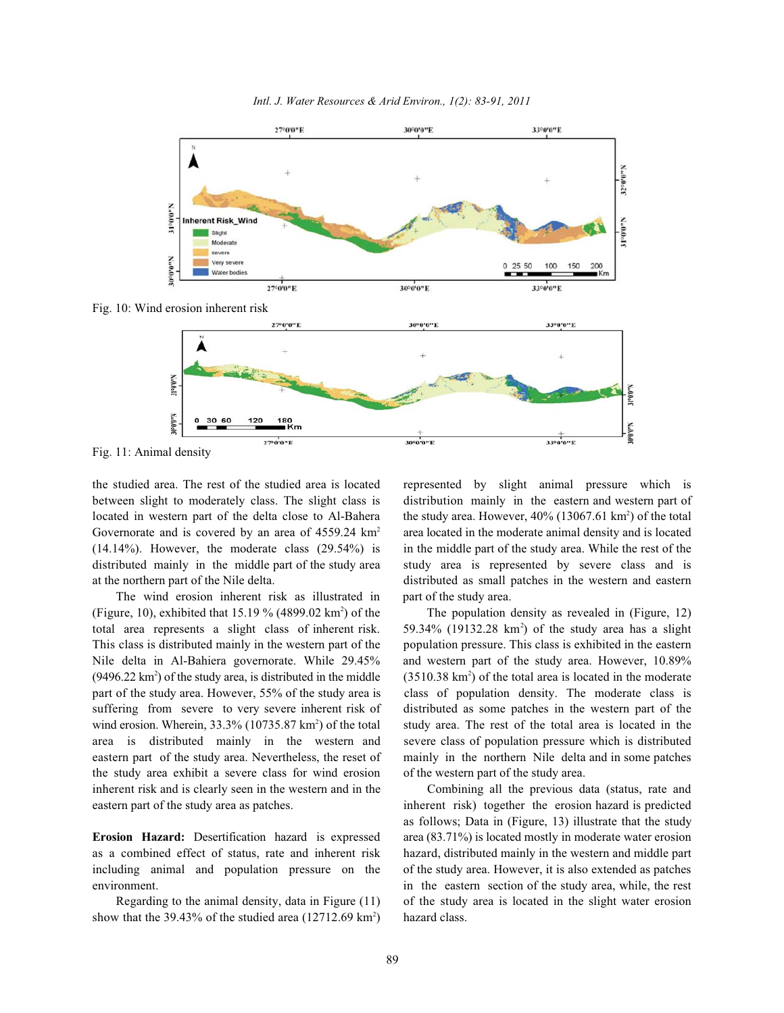

*Intl. J. Water Resources & Arid Environ., 1(2): 83-91, 2011*

Fig. 11: Animal density

between slight to moderately class. The slight class is distribution mainly in the eastern and western part of located in western part of the delta close to Al-Bahera the study area. However, 40% (13067.61 km<sup>2</sup>) of the total Governorate and is covered by an area of  $4559.24 \text{ km}^2$  area located in the moderate animal density and is located (14.14%). However, the moderate class (29.54%) is in the middle part of the study area. While the rest of the distributed mainly in the middle part of the study area study area is represented by severe class and is at the northern part of the Nile delta. distributed as small patches in the western and eastern

The wind erosion inherent risk as illustrated in part of the study area. (Figure, 10), exhibited that 15.19 % (4899.02 km<sup>2</sup>) of the The population density as revealed in (Figure, 12) total area represents a slight class of inherent risk. 59.34% (19132.28 km<sup>2</sup>) of the study area has a slight This class is distributed mainly in the western part of the population pressure. This class is exhibited in the eastern Nile delta in Al-Bahiera governorate. While 29.45% and western part of the study area. However, 10.89%  $(9496.22 \text{ km}^2)$  of the study area, is distributed in the middle  $(3510.38 \text{ km}^2)$  of the total area is located in the moderate part of the study area. However, 55% of the study area is class of population density. The moderate class is suffering from severe to very severe inherent risk of distributed as some patches in the western part of the wind erosion. Wherein,  $33.3\%$  (10735.87 km<sup>2</sup>) of the total study area. The rest of the total area is located in the area is distributed mainly in the western and severe class of population pressure which is distributed eastern part of the study area. Nevertheless, the reset of mainly in the northern Nile delta and in some patches the study area exhibit a severe class for wind erosion of the western part of the study area. inherent risk and is clearly seen in the western and in the Combining all the previous data (status, rate and eastern part of the study area as patches. inherent risk) together the erosion hazard is predicted

including animal and population pressure on the of the study area. However, it is also extended as patches

show that the 39.43% of the studied area  $(12712.69 \text{ km}^2)$  hazard class.

the studied area. The rest of the studied area is located represented by slight animal pressure which is

**Erosion Hazard:** Desertification hazard is expressed area (83.71%) is located mostly in moderate water erosion as a combined effect of status, rate and inherent risk hazard, distributed mainly in the western and middle part environment. in the eastern section of the study area, while, the rest Regarding to the animal density, data in Figure (11) of the study area is located in the slight water erosion as follows; Data in (Figure, 13) illustrate that the study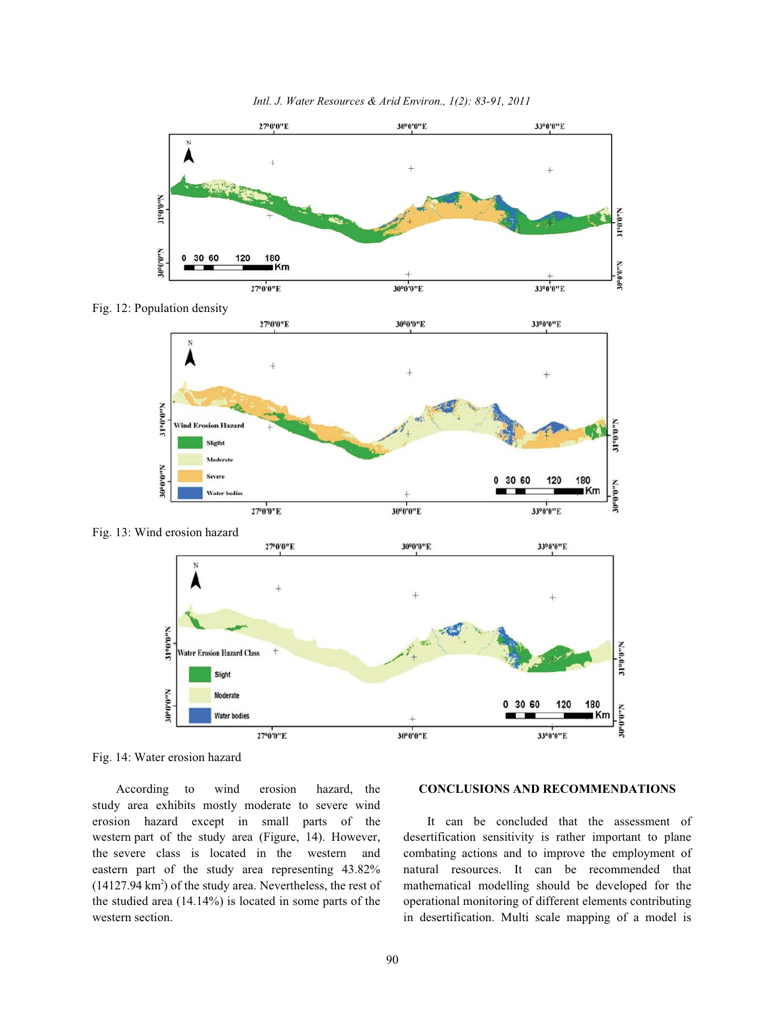

*Intl. J. Water Resources & Arid Environ., 1(2): 83-91, 2011*

Fig. 12: Population density







Fig. 14: Water erosion hazard

study area exhibits mostly moderate to severe wind erosion hazard except in small parts of the It can be concluded that the assessment of western part of the study area (Figure, 14). However, desertification sensitivity is rather important to plane the severe class is located in the western and combating actions and to improve the employment of eastern part of the study area representing 43.82% natural resources. It can be recommended that (14127.94 km<sup>2</sup>) of the study area. Nevertheless, the rest of mathematical modelling should be developed for the the studied area (14.14%) is located in some parts of the operational monitoring of different elements contributing western section. **in desertification**. Multi scale mapping of a model is

## According to wind erosion hazard, the **CONCLUSIONS AND RECOMMENDATIONS**